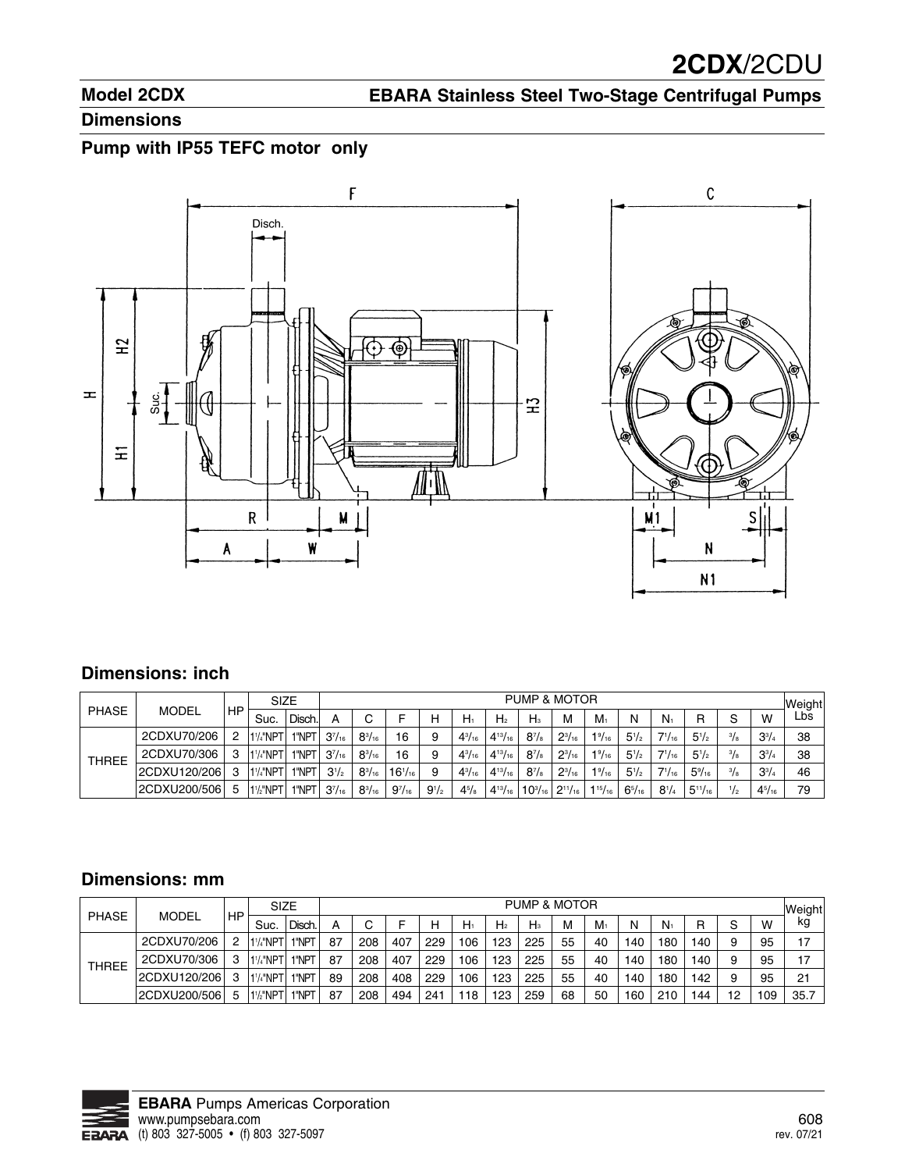## **Model 2CDX**

# **EBARA Stainless Steel Two-Stage Centrifugal Pumps**

#### **Dimensions**

### **Pump with IP55 TEFC motor only**



#### **Dimensions: inch**

|              |               |    | <b>SIZE</b>                        |        | PUMP & MOTOR  |               |               |           |               |                |              |                                                |                 |               |               |                 |               | Weight        |      |
|--------------|---------------|----|------------------------------------|--------|---------------|---------------|---------------|-----------|---------------|----------------|--------------|------------------------------------------------|-----------------|---------------|---------------|-----------------|---------------|---------------|------|
| <b>PHASE</b> | MODEL         | HP | Suc.                               | Disch. |               |               |               | н         | $H_1$         | H <sub>2</sub> | $H_3$        | м                                              | $M_1$           | N             | $N_1$         | R               | S             | W             | Lbs. |
| THREE        | 2CDXU70/206   | ິ  | 1 <sup>1</sup> / <sub>4</sub> "NP1 | 1"NPT  | $3^{7}/_{16}$ | $8^{3}/_{16}$ | 16            |           | $4^{3}/_{16}$ | $4^{13}/_{16}$ | $8^{7}/_{8}$ | $2^{3}/_{16}$                                  | $1\frac{9}{16}$ | $5^{1}/2$     | $7^{1}/_{16}$ | $5^{1}/2$       | $^{3}/_{8}$   | $3^{3}/4$     | 38   |
|              | 2CDXU70/306   | 3  | 1 <sup>1</sup> / <sub>4</sub> "NP1 | 1"NPT  | $3^{7}/_{16}$ | $8^{3}/_{16}$ | 16            |           | $4^{3}/_{16}$ | $4^{13}/_{16}$ | $8^{7}/_{8}$ | $2^{3}/_{16}$                                  | $1\frac{9}{16}$ | $5^{1}/2$     | $7^{1}/_{16}$ | $5^{1}/2$       | $^{3}/_{8}$   | $3^{3}/4$     | 38   |
|              | 12CDXU120/206 |    | 1 <sup>1</sup> / <sub>4</sub> "NPT | 1"NPT  | $3^{1/2}$     | $8^{3}/_{16}$ | $16^{1/16}$   | 9         | $4^{3}/_{16}$ | $4^{13}/_{16}$ | $8^{7}/_{8}$ | $2^{3}/_{16}$                                  | $1\frac{9}{16}$ | $5^{1}/2$     | $7^{1}/_{16}$ | $5\frac{9}{16}$ | $^{3}/_{8}$   | $3^{3}/4$     | 46   |
|              | 2CDXU200/506  | .5 | 1 <sup>1</sup> / <sub>2</sub> "NPT | 1"NPT  | $3^{7}/_{16}$ | $8^{3}/_{16}$ | $9^{7}/_{16}$ | $9^{1/2}$ | $4^{5}/_{8}$  | $4^{13}/_{16}$ |              | $10^{3}/_{16}$ 2 <sup>11</sup> / <sub>16</sub> | $1^{15}/_{16}$  | $6^{5}/_{16}$ | $8^{1/4}$     | $5^{11}/_{16}$  | $\frac{1}{2}$ | $4^{5}/_{16}$ | 79   |

### **Dimensions: mm**

|              |              |    | SIZE                               |        | PUMP & MOTOR |     |     |     |     |                |       |    |       |     |       |     |    | Weight |      |
|--------------|--------------|----|------------------------------------|--------|--------------|-----|-----|-----|-----|----------------|-------|----|-------|-----|-------|-----|----|--------|------|
| <b>PHASE</b> | <b>MODEL</b> | HP | Suc.                               | Disch. | А            |     |     | н   | H   | H <sub>2</sub> | $H_3$ | м  | $M_1$ | N   | $N_1$ | R   | ົ  | w      | kg   |
| <b>THREE</b> | 2CDXU70/206  |    | 11/4"NPT                           | "NPT   | 87           | 208 | 407 | 229 | 106 | 123            | 225   | 55 | 40    | 140 | 180   | 140 | 9  | 95     | 17   |
|              | 2CDXU70/306  |    | 1 <sup>1</sup> /4"NPT              | "NPT   | 87           | 208 | 407 | 229 | 106 | 123            | 225   | 55 | 40    | 140 | 180   | 140 | 9  | 95     | 17   |
|              | 2CDXU120/206 |    | 1 <sup>1</sup> / <sub>4</sub> "NPT | "NPT   | 89           | 208 | 408 | 229 | 106 | 123            | 225   | 55 | 40    | 140 | 180   | 142 | q  | 95     | 21   |
|              | 2CDXU200/506 | 5  | 1 <sup>1</sup> / <sub>2</sub> "NPT | "NPT   | 87           | 208 | 494 | 241 | 118 | 123            | 259   | 68 | 50    | 160 | 210   | 144 | 12 | 109    | 35.7 |